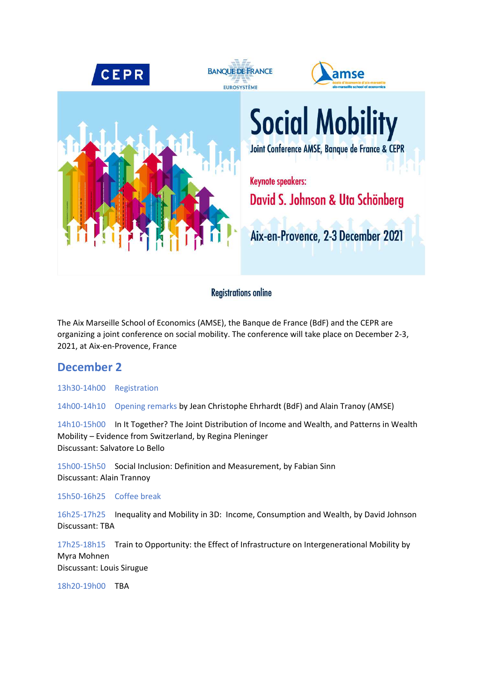

## **Registrations online**

The Aix Marseille School of Economics (AMSE), the Banque de France (BdF) and the CEPR are organizing a joint conference on social mobility. The conference will take place on December 2-3, 2021, at Aix-en-Provence, France

## **December 2**

13h30-14h00 Registration

14h00-14h10 Opening remarks by Jean Christophe Ehrhardt (BdF) and Alain Tranoy (AMSE)

14h10-15h00 In It Together? The Joint Distribution of Income and Wealth, and Patterns in Wealth Mobility – Evidence from Switzerland, by Regina Pleninger Discussant: Salvatore Lo Bello

15h00-15h50 Social Inclusion: Definition and Measurement, by Fabian Sinn Discussant: Alain Trannoy

15h50-16h25 Coffee break

16h25-17h25 Inequality and Mobility in 3D: Income, Consumption and Wealth, by David Johnson Discussant: TBA

17h25-18h15 Train to Opportunity: the Effect of Infrastructure on Intergenerational Mobility by Myra Mohnen Discussant: Louis Sirugue

18h20-19h00 TBA